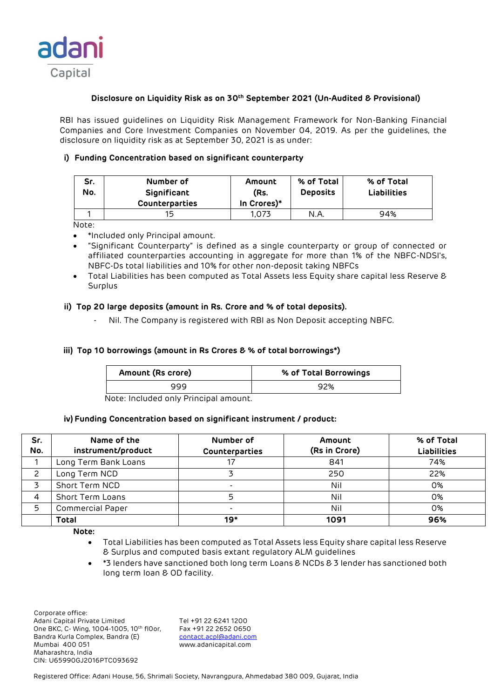

# **Disclosure on Liquidity Risk as on 30th September 2021 (Un-Audited & Provisional)**

RBI has issued guidelines on Liquidity Risk Management Framework for Non-Banking Financial Companies and Core Investment Companies on November 04, 2019. As per the guidelines, the disclosure on liquidity risk as at September 30, 2021 is as under:

# **i) Funding Concentration based on significant counterparty**

| Sr.<br>No. | Number of<br>Significant<br><b>Counterparties</b> | Amount<br>(Rs.<br>In Crores)* | % of Total<br><b>Deposits</b> | % of Total<br><b>Liabilities</b> |
|------------|---------------------------------------------------|-------------------------------|-------------------------------|----------------------------------|
|            | 15                                                | 1.073                         | N.A.                          | 94%                              |

Note:

- \*Included only Principal amount.
- "Significant Counterparty" is defined as a single counterparty or group of connected or affiliated counterparties accounting in aggregate for more than 1% of the NBFC-NDSI's, NBFC-Ds total liabilities and 10% for other non-deposit taking NBFCs
- Total Liabilities has been computed as Total Assets less Equity share capital less Reserve & Surplus

## **ii) Top 20 large deposits (amount in Rs. Crore and % of total deposits).**

Nil. The Company is registered with RBI as Non Deposit accepting NBFC.

## **iii) Top 10 borrowings (amount in Rs Crores & % of total borrowings\*)**

| Amount (Rs crore) | % of Total Borrowings |
|-------------------|-----------------------|
| 999               | 92%                   |

Note: Included only Principal amount.

### **iv) Funding Concentration based on significant instrument / product:**

| Sr.<br>No. | Name of the<br>instrument/product | Number of<br>Counterparties | Amount<br>(Rs in Crore) | % of Total<br><b>Liabilities</b> |
|------------|-----------------------------------|-----------------------------|-------------------------|----------------------------------|
|            | Long Term Bank Loans              |                             | 841                     | 74%                              |
|            | Long Term NCD                     |                             | 250                     | 22%                              |
|            | Short Term NCD                    |                             | Nil                     | 0%                               |
|            | Short Term Loans                  | ц.                          | Nil                     | 0%                               |
| 5          | <b>Commercial Paper</b>           | $\overline{\phantom{a}}$    | Nil                     | 0%                               |
|            | <b>Total</b>                      | 19*                         | 1091                    | 96%                              |

**Note:** 

- Total Liabilities has been computed as Total Assets less Equity share capital less Reserve & Surplus and computed basis extant regulatory ALM guidelines
- \*3 lenders have sanctioned both long term Loans & NCDs & 3 lender has sanctioned both long term loan & OD facility.

 Corporate office: Adani Capital Private Limited Tel +91 22 6241 1200<br>One BKC, C- Wing, 1004-1005, 10th floor, Fax +91 22 2652 0650 One BKC, C- Wing, 1004-1005, 10th fl0or, Bandra Kurla Complex, Bandra (E) [contact.acpl@adani.com](mailto:contact.acpl@adani.com) Mumbai 400 051 www.adanicapital.com Maharashtra, India CIN: U65990GJ2016PTC093692